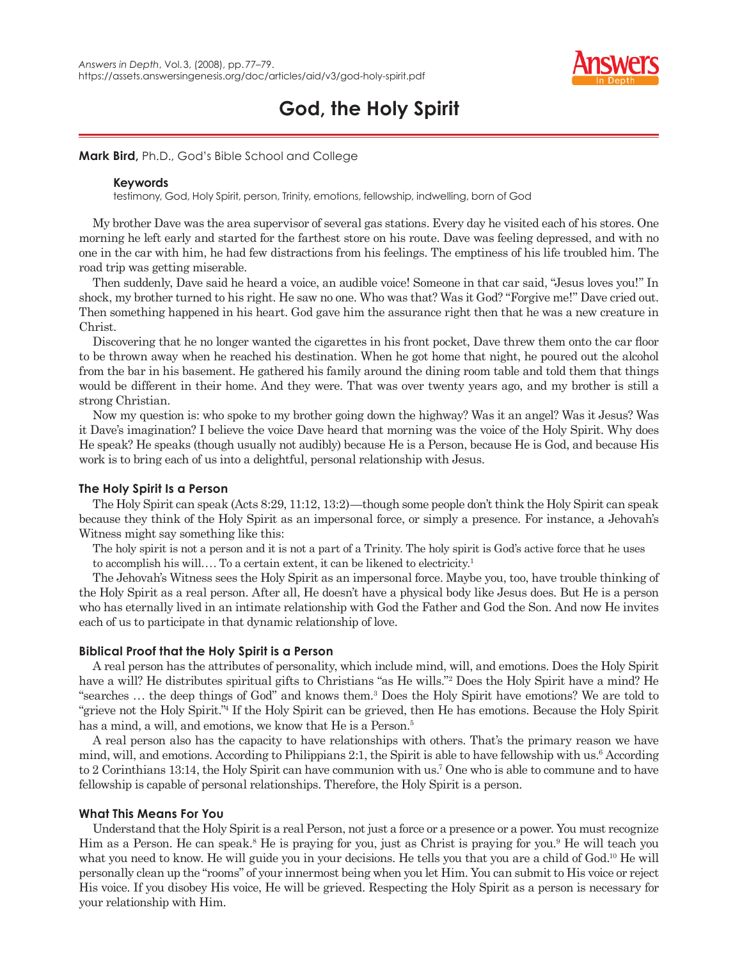

# **God, the Holy Spirit**

**Mark Bird,** Ph.D., God's Bible School and College

## **Keywords**

testimony, God, Holy Spirit, person, Trinity, emotions, fellowship, indwelling, born of God

My brother Dave was the area supervisor of several gas stations. Every day he visited each of his stores. One morning he left early and started for the farthest store on his route. Dave was feeling depressed, and with no one in the car with him, he had few distractions from his feelings. The emptiness of his life troubled him. The road trip was getting miserable.

Then suddenly, Dave said he heard a voice, an audible voice! Someone in that car said, "Jesus loves you!" In shock, my brother turned to his right. He saw no one. Who was that? Was it God? "Forgive me!" Dave cried out. Then something happened in his heart. God gave him the assurance right then that he was a new creature in Christ.

Discovering that he no longer wanted the cigarettes in his front pocket. Dave threw them onto the car floor to be thrown away when he reached his destination. When he got home that night, he poured out the alcohol from the bar in his basement. He gathered his family around the dining room table and told them that things would be different in their home. And they were. That was over twenty years ago, and my brother is still a strong Christian.

Now my question is: who spoke to my brother going down the highway? Was it an angel? Was it Jesus? Was it Dave's imagination? I believe the voice Dave heard that morning was the voice of the Holy Spirit. Why does He speak? He speaks (though usually not audibly) because He is a Person, because He is God, and because His work is to bring each of us into a delightful, personal relationship with Jesus.

# **The Holy Spirit Is a Person**

The Holy Spirit can speak (Acts 8:29, 11:12, 13:2)—though some people don't think the Holy Spirit can speak because they think of the Holy Spirit as an impersonal force, or simply a presence. For instance, a Jehovah's Witness might say something like this:

The holy spirit is not a person and it is not a part of a Trinity. The holy spirit is God's active force that he uses to accomplish his will.... To a certain extent, it can be likened to electricity.<sup>1</sup>

The Jehovah's Witness sees the Holy Spirit as an impersonal force. Maybe you, too, have trouble thinking of the Holy Spirit as a real person. After all, He doesn't have a physical body like Jesus does. But He is a person who has eternally lived in an intimate relationship with God the Father and God the Son. And now He invites each of us to participate in that dynamic relationship of love.

# **Biblical Proof that the Holy Spirit is a Person**

A real person has the attributes of personality, which include mind, will, and emotions. Does the Holy Spirit have a will? He distributes spiritual gifts to Christians "as He wills."2 Does the Holy Spirit have a mind? He "searches . . . the deep things of God" and knows them.3 Does the Holy Spirit have emotions? We are told to "grieve not the Holy Spirit."4 If the Holy Spirit can be grieved, then He has emotions. Because the Holy Spirit has a mind, a will, and emotions, we know that He is a Person.<sup>5</sup>

A real person also has the capacity to have relationships with others. That's the primary reason we have mind, will, and emotions. According to Philippians 2:1, the Spirit is able to have fellowship with us.<sup>6</sup> According to 2 Corinthians 13:14, the Holy Spirit can have communion with us.7 One who is able to commune and to have fellowship is capable of personal relationships. Therefore, the Holy Spirit is a person.

## **What This Means For You**

Understand that the Holy Spirit is a real Person, not just a force or a presence or a power. You must recognize Him as a Person. He can speak.<sup>8</sup> He is praying for you, just as Christ is praying for you.<sup>9</sup> He will teach you what you need to know. He will guide you in your decisions. He tells you that you are a child of God.<sup>10</sup> He will personally clean up the "rooms" of your innermost being when you let Him. You can submit to His voice or reject His voice. If you disobey His voice, He will be grieved. Respecting the Holy Spirit as a person is necessary for your relationship with Him.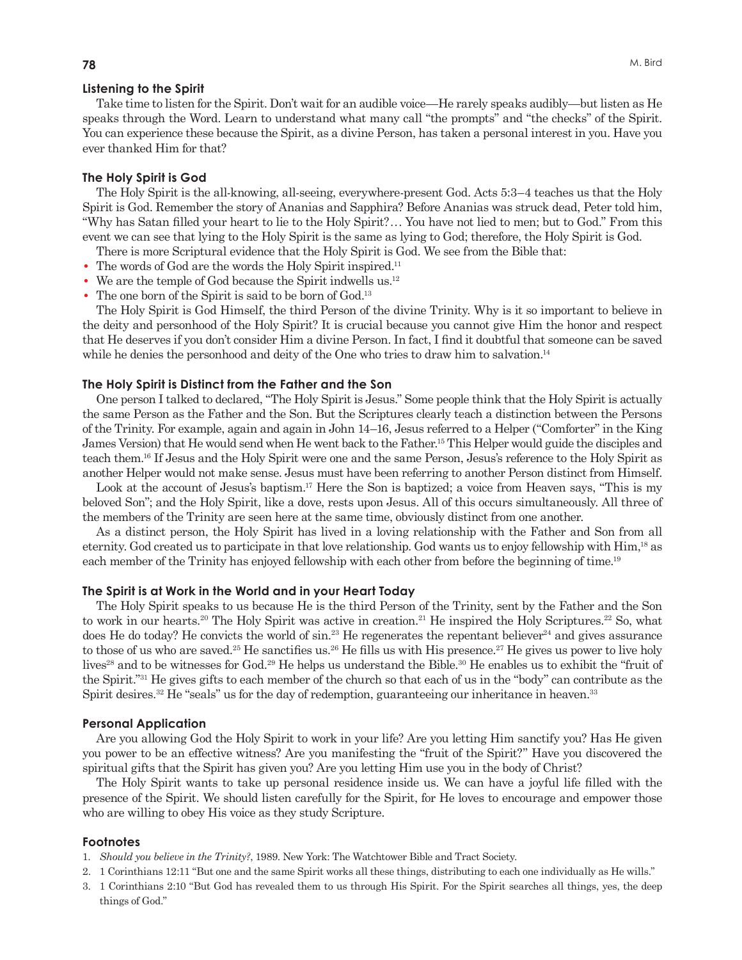#### **Listening to the Spirit**

Take time to listen for the Spirit. Don't wait for an audible voice—He rarely speaks audibly—but listen as He speaks through the Word. Learn to understand what many call "the prompts" and "the checks" of the Spirit. You can experience these because the Spirit, as a divine Person, has taken a personal interest in you. Have you ever thanked Him for that?

#### **The Holy Spirit is God**

The Holy Spirit is the all-knowing, all-seeing, everywhere-present God. Acts 5:3–4 teaches us that the Holy Spirit is God. Remember the story of Ananias and Sapphira? Before Ananias was struck dead, Peter told him, "Why has Satan filled your heart to lie to the Holy Spirit? . . . You have not lied to men; but to God." From this event we can see that lying to the Holy Spirit is the same as lying to God; therefore, the Holy Spirit is God.

- There is more Scriptural evidence that the Holy Spirit is God. We see from the Bible that:
- The words of God are the words the Holy Spirit inspired.<sup>11</sup>
- **•** We are the temple of God because the Spirit indwells us.12
- The one born of the Spirit is said to be born of God.<sup>13</sup>

The Holy Spirit is God Himself, the third Person of the divine Trinity. Why is it so important to believe in the deity and personhood of the Holy Spirit? It is crucial because you cannot give Him the honor and respect that He deserves if you don't consider Him a divine Person. In fact, I find it doubtful that someone can be saved while he denies the personhood and deity of the One who tries to draw him to salvation.<sup>14</sup>

#### **The Holy Spirit is Distinct from the Father and the Son**

One person I talked to declared, "The Holy Spirit is Jesus." Some people think that the Holy Spirit is actually the same Person as the Father and the Son. But the Scriptures clearly teach a distinction between the Persons of the Trinity. For example, again and again in John 14–16, Jesus referred to a Helper ("Comforter" in the King James Version) that He would send when He went back to the Father.15 This Helper would guide the disciples and teach them.16 If Jesus and the Holy Spirit were one and the same Person, Jesus's reference to the Holy Spirit as another Helper would not make sense. Jesus must have been referring to another Person distinct from Himself.

Look at the account of Jesus's baptism.<sup>17</sup> Here the Son is baptized; a voice from Heaven says, "This is my beloved Son"; and the Holy Spirit, like a dove, rests upon Jesus. All of this occurs simultaneously. All three of the members of the Trinity are seen here at the same time, obviously distinct from one another.

As a distinct person, the Holy Spirit has lived in a loving relationship with the Father and Son from all eternity. God created us to participate in that love relationship. God wants us to enjoy fellowship with Him,18 as each member of the Trinity has enjoyed fellowship with each other from before the beginning of time.<sup>19</sup>

#### **The Spirit is at Work in the World and in your Heart Today**

The Holy Spirit speaks to us because He is the third Person of the Trinity, sent by the Father and the Son to work in our hearts.<sup>20</sup> The Holy Spirit was active in creation.<sup>21</sup> He inspired the Holy Scriptures.<sup>22</sup> So, what does He do today? He convicts the world of  $\sin^{23}$  He regenerates the repentant believer<sup>24</sup> and gives assurance to those of us who are saved.<sup>25</sup> He sanctifies us.<sup>26</sup> He fills us with His presence.<sup>27</sup> He gives us power to live holy lives<sup>28</sup> and to be witnesses for God.<sup>29</sup> He helps us understand the Bible.<sup>30</sup> He enables us to exhibit the "fruit of the Spirit."31 He gives gifts to each member of the church so that each of us in the "body" can contribute as the Spirit desires.<sup>32</sup> He "seals" us for the day of redemption, guaranteeing our inheritance in heaven.<sup>33</sup>

#### **Personal Application**

Are you allowing God the Holy Spirit to work in your life? Are you letting Him sanctify you? Has He given you power to be an effective witness? Are you manifesting the "fruit of the Spirit?" Have you discovered the spiritual gifts that the Spirit has given you? Are you letting Him use you in the body of Christ?

The Holy Spirit wants to take up personal residence inside us. We can have a joyful life filled with the presence of the Spirit. We should listen carefully for the Spirit, for He loves to encourage and empower those who are willing to obey His voice as they study Scripture.

#### **Footnotes**

- 1. *Should you believe in the Trinity?*, 1989. New York: The Watchtower Bible and Tract Society.
- 2. 1 Corinthians 12:11 "But one and the same Spirit works all these things, distributing to each one individually as He wills."
- 3. 1 Corinthians 2:10 "But God has revealed them to us through His Spirit. For the Spirit searches all things, yes, the deep things of God."